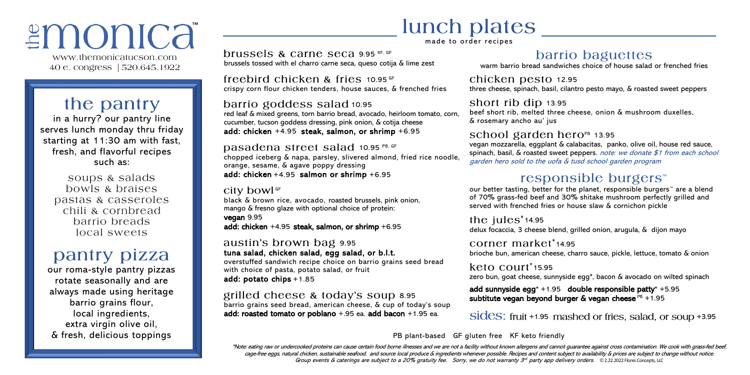# *≅monica*

www.themonicatucson.com 40 e. congress | 520.645.1922

# the pantry

in a hurry? our pantry line serves lunch monday thru friday starting at 11:30 am with fast, fresh, and flavorful recipes such as:

soups & salads bowls & braises pastas & casseroles chili & cornbread barrio breads local sweets

## pantry pizza

our roma-style pantry pizzas rotate seasonally and are always made using heritage barrio grains flour, local ingredients, extra virgin olive oil, & fresh, delicious toppings

# lunch plates

made to order recipes

brussels & carne seca 9.95 KF, GF brussels tossed with el charro carne seca, queso cotija & lime zest

freebird chicken & fries  $10.95$  GF crispy corn flour chicken tenders, house sauces, & frenched fries

#### barrio goddess salad 10.95

red leaf & mixed greens, torn barrio bread, avocado, heirloom tomato, corn, cucumber, tucson goddess dressing, pink onion, & cotija cheese add: chicken +4.95 steak, salmon, or shrimp +6.95

Dasadena street salad 10.95 PB, GF chopped iceberg & napa, parsley, slivered almond, fried rice noodle, orange, sesame, & agave poppy dressing add: chicken +4.95 salmon or shrimp +6.95

#### City bowl<sup>GF</sup> black & brown rice, avocado, roasted brussels, pink onion, mango & fresno glaze with optional choice of protein: vegan 9.95 add: chicken +4.95 steak, salmon, or shrimp +6.95

austin's brown bag 9.95 tuna salad, chicken salad, egg salad, or b.l.t. overstuffed sandwich recipe choice on barrio grains seed bread with choice of pasta, potato salad, or fruit add: potato chips +1.85

grilled cheese & today's soup 8.95 barrio grains seed bread, american cheese, & cup of today's soup add: roasted tomato or poblano +.95 ea. add bacon +1.95 ea.

## barrio baguettes

warm barrio bread sandwiches choice of house salad or frenched fries

chicken pesto 12.95 three cheese, spinach, basil, cilantro pesto mayo, & roasted sweet peppers

#### short rib dip 13.95

beef short rib, melted three cheese, onion & mushroom duxelles, & rosemary ancho au' jus

#### school garden hero $P<sub>B</sub>$  13.95

vegan mozzarella, eggplant & calabacitas, panko, olive oil, house red sauce, spinach, basil, & roasted sweet peppers. note: we donate \$1 from each school garden hero sold to the uofa & tusd school garden program

### responsible burgers<sup>™</sup>

our better tasting, better for the planet, responsible burgers™ are a blend of 70% grass-fed beef and 30% shitake mushroom perfectly grilled and served with frenched fries or house slaw & cornichon pickle

the  $iules^*$ 14.95 delux focaccia, 3 cheese blend, grilled onion, arugula, & dijon mayo

corner market\*14.95 brioche bun, american cheese, charro sauce, pickle, lettuce, tomato & onion

 $keto$   $\text{C}$  $\Omega$  $\text{H}$  $\text{L}$  $\text{L}$  $\text{S}$  $\text{S}$ zero bun, goat cheese, sunnyside egg\*, bacon & avocado on wilted spinach

add sunnyside egg $* + 1.95$  double responsible patty $* + 5.95$ subtitute vegan beyond burger & vegan cheese  $PB +1.95$ 

sides: fruit +1.95 mashed or fries, salad, or soup +3.95

PB plant-based GF gluten free KF keto friendly

\*Note: eating raw or undercooked proteins can cause certain food borne illnesses and we are not a facility without known allergens and cannot guarantee against cross contamination. We cook with grass-fed beef, cage-free eggs, natural chicken, sustainable seafood, and source local produce & ingredients whenever possible. Recipes and content subject to availability & prices are subject to change without notice. Group events & caterings are subject to a 20% gratuity fee. Sorry, we do not warranty 3<sup>rd</sup> party app delivery orders. ©2.22.2022 Flores Concepts, LLC